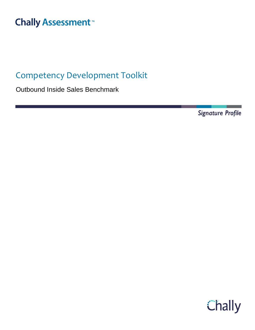# **Chally Assessment**<sup>™</sup>

## Competency Development Toolkit

Outbound Inside Sales Benchmark

Signature Profile

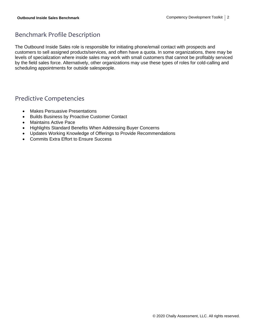### Benchmark Profile Description

The Outbound Inside Sales role is responsible for initiating phone/email contact with prospects and customers to sell assigned products/services, and often have a quota. In some organizations, there may be levels of specialization where inside sales may work with small customers that cannot be profitably serviced by the field sales force. Alternatively, other organizations may use these types of roles for cold-calling and scheduling appointments for outside salespeople.

### Predictive Competencies

- Makes Persuasive Presentations
- Builds Business by Proactive Customer Contact
- Maintains Active Pace
- Highlights Standard Benefits When Addressing Buyer Concerns
- Updates Working Knowledge of Offerings to Provide Recommendations
- Commits Extra Effort to Ensure Success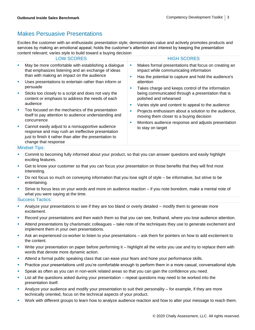### Makes Persuasive Presentations

Excites the customer with an enthusiastic presentation style; demonstrates value and actively promotes products and services by making an emotional appeal; holds the customer's attention and interest by keeping the presentation content relevant; varies style to build toward a buying decision

|    | <b>LOW SCORES</b>                                                                                                                                                                        |                             | <b>HIGH SCORES</b>                                                                                                                                     |                                                                                                  |
|----|------------------------------------------------------------------------------------------------------------------------------------------------------------------------------------------|-----------------------------|--------------------------------------------------------------------------------------------------------------------------------------------------------|--------------------------------------------------------------------------------------------------|
| ×  | May be more comfortable with establishing a dialogue<br>that emphasizes listening and an exchange of ideas<br>than with making an impact on the audience                                 | ш<br>п                      | Makes formal presentations that focus on creating an<br>impact while communicating information<br>Has the potential to capture and hold the audience's |                                                                                                  |
| I. | Uses presentations to entertain rather than inform or<br>persuade                                                                                                                        | <b>ST</b>                   | attention<br>Takes charge and keeps control of the information                                                                                         |                                                                                                  |
| ш  | Sticks too closely to a script and does not vary the<br>content or emphasis to address the needs of each<br>audience                                                                     | <b>ST</b>                   | being communicated through a presentation that is<br>polished and rehearsed<br>Varies style and content to appeal to the audience                      |                                                                                                  |
| ш  | Too focused on the mechanics of the presentation<br>itself to pay attention to audience understanding and<br>concurrence                                                                 | п<br>ш<br>to stay on target |                                                                                                                                                        | Projects enthusiasm about a solution to the audience,<br>moving them closer to a buying decision |
| U, | Cannot easily adjust to a nonsupportive audience<br>response and may rush an ineffective presentation<br>just to finish it rather than alter the presentation to<br>change that response |                             | Monitors audience response and adjusts presentation                                                                                                    |                                                                                                  |

#### Mindset Tips:

- **Commit to becoming fully informed about your product, so that you can answer questions and easily highlight** exciting features.
- Get to know your customer so that you can focus your presentation on those benefits that they will find most interesting.
- Do not focus so much on conveying information that you lose sight of style be informative, but strive to be entertaining.
- Strive to focus less on your words and more on audience reaction if you note boredom, make a mental note of what you were saying at the time.

- Analyze your presentations to see if they are too bland or overly detailed modify them to generate more excitement.
- Record your presentations and then watch them so that you can see, firsthand, where you lose audience attention.
- Attend presentations by charismatic colleagues take note of the techniques they use to generate excitement and implement them in your own presentations.
- **•** Ask an experienced co-worker to listen to your presentations ask them for pointers on how to add excitement to the content.
- Write your presentation on paper before performing it highlight all the verbs you use and try to replace them with words that denote more dynamic action.
- **EXECT Attend a formal public speaking class that can ease your fears and hone your performance skills.**
- **Practice your presentations until you're comfortable enough to perform them in a more casual, conversational style.**
- **•** Speak as often as you can in non-work related areas so that you can gain the confidence you need.
- **EXECT** List all the questions asked during your presentation repeat questions may need to be worked into the presentation itself.
- Analyze your audience and modify your presentation to suit their personality for example, if they are more technically oriented, focus on the technical aspects of your product.
- Work with different groups to learn how to analyze audience reaction and how to alter your message to reach them.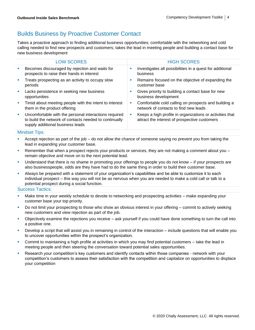### Builds Business by Proactive Customer Contact

Takes a proactive approach to finding additional business opportunities; comfortable with the networking and cold calling needed to find new prospects and customers; takes the lead in meeting people and building a contact base for new business development

|                | <b>LOW SCORES</b>                                                                                                                                   |    | <b>HIGH SCORES</b>                                                                                        |
|----------------|-----------------------------------------------------------------------------------------------------------------------------------------------------|----|-----------------------------------------------------------------------------------------------------------|
| ×              | Becomes discouraged by rejection and waits for<br>prospects to raise their hands in interest                                                        | ш  | Investigates all possibilities in a quest for additional<br>business                                      |
| $\blacksquare$ | Treats prospecting as an activity to occupy slow<br>periods                                                                                         | a. | Remains focused on the objective of expanding the<br>customer base                                        |
| <b>D</b>       | Lacks persistence in seeking new business<br>opportunities                                                                                          | ш  | Gives priority to building a contact base for new<br>business development                                 |
| ×              | Timid about meeting people with the intent to interest<br>them in the product offering                                                              | ш  | Comfortable cold calling on prospects and building a<br>network of contacts to find new leads             |
| ×              | Uncomfortable with the personal interactions required<br>to build the network of contacts needed to continually<br>supply additional business leads | ш  | Keeps a high profile in organizations or activities that<br>attract the interest of prospective customers |
|                |                                                                                                                                                     |    |                                                                                                           |

#### Mindset Tips:

- Accept rejection as part of the job do not allow the chance of someone saying no prevent you from taking the lead in expanding your customer base.
- **EXECT** Remember that when a prospect rejects your products or services, they are not making a comment about you  $$ remain objective and move on to the next potential lead.
- Understand that there is no shame in promoting your offerings to people you do not know if your prospects are also businesspeople, odds are they have had to do the same thing in order to build their customer base.
- Always be prepared with a statement of your organization's capabilities and be able to customize it to each individual prospect – this way you will not be as nervous when you are needed to make a cold call or talk to a potential prospect during a social function.

- Make time in your weekly schedule to devote to networking and prospecting activities make expanding your customer base your top priority.
- Do not limit your prospecting to those who show an obvious interest in your offering commit to actively seeking new customers and view rejection as part of the job.
- Objectively examine the rejections you receive  $-$  ask yourself if you could have done something to turn the call into a positive one.
- Develop a script that will assist you in remaining in control of the interaction include questions that will enable you to uncover opportunities within the prospect's organization.
- Commit to maintaining a high profile at activities in which you may find potential customers take the lead in meeting people and then steering the conversation toward potential sales opportunities.
- Research your competition's key customers and identify contacts within those companies network with your competition's customers to assess their satisfaction with the competition and capitalize on opportunities to displace your competition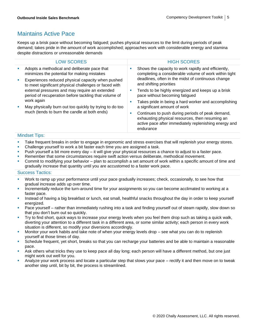### Maintains Active Pace

Keeps up a brisk pace without becoming fatigued; pushes physical resources to the limit during periods of peak demand; takes pride in the amount of work accomplished; approaches work with considerable energy and stamina despite distractions or unreasonable demands

|        | <b>LOW SCORES</b>                                                                                                                                                                                                                                                                                                                              |  | <b>HIGH SCORES</b>                                                                                                                                                        |
|--------|------------------------------------------------------------------------------------------------------------------------------------------------------------------------------------------------------------------------------------------------------------------------------------------------------------------------------------------------|--|---------------------------------------------------------------------------------------------------------------------------------------------------------------------------|
| ×      | Adopts a methodical and deliberate pace that<br>minimizes the potential for making mistakes                                                                                                                                                                                                                                                    |  | Shows the capacity to work rapidly and efficiently,<br>completing a considerable volume of work within tight                                                              |
| ×<br>× | Experiences reduced physical capacity when pushed<br>to meet significant physical challenges or faced with<br>external pressures and may require an extended<br>period of recuperation before tackling that volume of<br>work again<br>May physically burn out too quickly by trying to do too<br>much (tends to burn the candle at both ends) |  | deadlines, often in the midst of continuous change<br>and shifting priorities                                                                                             |
|        |                                                                                                                                                                                                                                                                                                                                                |  | Tends to be highly energized and keeps up a brisk<br>pace without becoming fatigued                                                                                       |
|        |                                                                                                                                                                                                                                                                                                                                                |  | Takes pride in being a hard worker and accomplishing<br>a significant amount of work                                                                                      |
|        |                                                                                                                                                                                                                                                                                                                                                |  | Continues to push during periods of peak demand,<br>exhausting physical resources, then resuming an<br>active pace after immediately replenishing energy and<br>endurance |

#### Mindset Tips:

- **EXECT** Take frequent breaks in order to engage in ergonomic and stress exercises that will replenish your energy stores.
- Challenge yourself to work a bit faster each time you are assigned a task.
- Push yourself a bit more every day it will give your physical resources a chance to adjust to a faster pace.
- Remember that some circumstances require swift action versus deliberate, methodical movement.
- Commit to modifying your behavior plan to accomplish a set amount of work within a specific amount of time and gradually increase that quantity until you are accustomed to a faster work pace.

- Work to ramp up your performance until your pace gradually increases; check, occasionally, to see how that gradual increase adds up over time.
- **EXECT** Incrementally reduce the turn-around time for your assignments so you can become acclimated to working at a faster pace.
- **EXED Instead of having a big breakfast or lunch, eat small, healthful snacks throughout the day in order to keep yourself** energized.
- Pace yourself rather than immediately rushing into a task and finding yourself out of steam rapidly, slow down so that you don't burn out so quickly.
- Try to find short, quick ways to increase your energy levels when you feel them drop such as taking a quick walk, diverting your attention to a different task in a different area, or some similar activity; each person in every work situation is different, so modify your diversions accordingly.
- Monitor your work habits and take note of when your energy levels drop see what you can do to replenish yourself at those times of day.
- **•** Schedule frequent, yet short, breaks so that you can recharge your batteries and be able to maintain a reasonable pace.
- Ask others what tricks they use to keep pace all day long; each person will have a different method, but one just might work out well for you.
- Analyze your work process and locate a particular step that slows your pace rectify it and then move on to tweak another step until, bit by bit, the process is streamlined.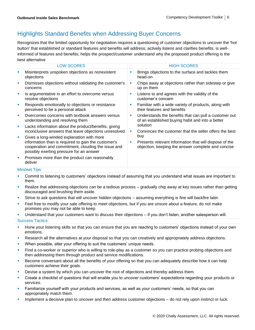### Highlights Standard Benefits when Addressing Buyer Concerns

Recognizes that the limited opportunity for negotiation requires a questioning of customer objections to uncover the 'hot button' that established or standard features and benefits will address; actively listens and clarifies benefits; is wellinformed of features and benefits; helps the prospect/customer understand why the proposed product offering is the best alternative

|   | <b>LOW SCORES</b>                                                                                                                                                                                  |        | <b>HIGH SCORES</b>                                                                                                  |  |
|---|----------------------------------------------------------------------------------------------------------------------------------------------------------------------------------------------------|--------|---------------------------------------------------------------------------------------------------------------------|--|
|   | Misinterprets unspoken objections as nonexistent<br>objections                                                                                                                                     | п      | Brings objections to the surface and tackles them<br>head-on                                                        |  |
|   | Dismisses objections without validating the customer's<br>concerns                                                                                                                                 |        | Chips away at objections rather than sidestep or give<br>up on them                                                 |  |
|   | Is argumentative in an effort to overcome versus<br>resolve objections                                                                                                                             | г      | Listens to and agrees with the validity of the<br>customer's concern                                                |  |
| × | Responds emotionally to objections or resistance<br>perceived to be a personal attack                                                                                                              | ш      | Familiar with a wide variety of products, along with<br>their features and benefits                                 |  |
| × | Overcomes concerns with textbook answers versus<br>understanding and resolving them                                                                                                                | п<br>× | Understands the benefits that can pull a customer out<br>of an established buying habit and into a better           |  |
| × | Lacks information about the product/benefits, giving<br>inconclusive answers that leave objections unresolved                                                                                      |        | solution<br>Convinces the customer that the seller offers the best                                                  |  |
| ш | Gives a long-winded explanation with more<br>information than is required to gain the customer's<br>cooperation and commitment, clouding the issue and<br>possibly exerting pressure for an answer |        | buy<br>Presents relevant information that will dispose of the<br>objection, keeping the answer complete and concise |  |
| ш | Promises more than the product can reasonably<br>deliver                                                                                                                                           |        |                                                                                                                     |  |
|   | <b>Mindset Tips:</b>                                                                                                                                                                               |        |                                                                                                                     |  |

- Commit to listening to customers' objections instead of assuming that you understand what issues are important to them.
- Realize that addressing objections can be a tedious process gradually chip away at key issues rather than getting discouraged and brushing them aside.
- Strive to ask questions that will uncover hidden objections assuming everything is fine will backfire later.
- Feel free to modify your sale offering to meet objections, but if you are unsure about a feature, do not make promises you may not be able to keep.
- Understand that your customers want to discuss their objections if you don't listen, another salesperson will.

- **EXT** Hone your listening skills so that you can ensure that you are reacting to customers' objections instead of your own emotions.
- **EXECT** Research all the alternatives at your disposal so that you can creatively and appropriately address objections.
- When possible, alter your offering to suit the customers' unique needs.
- **•** Find a co-worker or superior who is willing to role-play as a customer so you can practice probing objections and then addressing them through product and service modifications.
- **EXEDENT BECOME CONVERGENT ABOUT All the benefits of your offering so that you can adequately describe how it can help** customers achieve their goals.
- Devise a system by which you can uncover the root of objections and thereby address them.
- Create a checklist of questions that will enable you to uncover customers' expectations regarding your products or services.
- **EXECT Familiarize yourself with your products and services, as well as your customers' needs, so that you can** appropriately match them.
- **■** Implement a decisive plan to uncover and then address customer objections do not rely upon instinct or luck.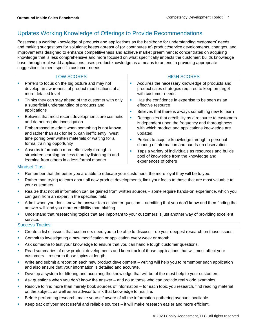### Updates Working Knowledge of Offerings to Provide Recommendations

Possesses a working knowledge of products and applications as the backbone for understanding customers' needs and making suggestions for solutions; keeps abreast of (or contributes to) product/service developments, changes, and improvements designed to enhance competitiveness and achieve market preeminence; concentrates on acquiring knowledge that is less comprehensive and more focused on what specifically impacts the customer; builds knowledge base through real-world applications; uses product knowledge as a means to an end in providing appropriate suggestions to meet specific customer needs

|   | <b>LOW SCORES</b>                                                                                                                                      |   | <b>HIGH SCORES</b>                                                                                                             |
|---|--------------------------------------------------------------------------------------------------------------------------------------------------------|---|--------------------------------------------------------------------------------------------------------------------------------|
| × | Prefers to focus on the big picture and may not<br>develop an awareness of product modifications at a<br>more detailed level                           | ш | Acquires the necessary knowledge of products and<br>product sales strategies required to keep on target<br>with customer needs |
| × | Thinks they can stay ahead of the customer with only<br>a superficial understanding of products and                                                    | ш | Has the confidence in expertise to be seen as an<br>effective resource                                                         |
|   | applications                                                                                                                                           | ш | Believes that there is always something new to learn                                                                           |
| × | Believes that most recent developments are cosmetic<br>and do not require investigation                                                                | ш | Recognizes that credibility as a resource to customers<br>is dependent upon the frequency and thoroughness                     |
| × | Embarrassed to admit when something is not known,<br>and rather than ask for help, can inefficiently invest                                            |   | with which product and applications knowledge are<br>updated                                                                   |
|   | time poring over written materials or waiting for a<br>formal training opportunity                                                                     | ш | Prefers to acquire knowledge through a personal<br>sharing of information and hands-on observation                             |
| × | Absorbs information more effectively through a<br>structured learning process than by listening to and<br>learning from others in a less formal manner | п | Taps a variety of individuals as resources and builds<br>pool of knowledge from the knowledge and<br>experiences of others     |

#### Mindset Tips:

- **EXECT** Remember that the better you are able to educate your customers, the more loyal they will be to you.
- Rather than trying to learn about all new product developments, limit your focus to those that are most valuable to your customers.
- Realize that not all information can be gained from written sources some require hands-on experience, which you can gain from an expert in the specified field.
- Admit when you don't know the answer to a customer question admitting that you don't know and then finding the answer will lend you more credibility than bluffing.
- **■** Understand that researching topics that are important to your customers is just another way of providing excellent service.

- **•** Create a list of issues that customers need you to be able to discuss do your deepest research on those issues.
- **Commit to investigating a new modification or application every week or month.**
- **EXEL Ask someone to test your knowledge to ensure that you can handle tough customer questions.**
- Read summaries of new product developments and keep track of those applications that will most affect your customers – research those topics at length.
- Write and submit a report on each new product development writing will help you to remember each application and also ensure that your information is detailed and accurate.
- **•** Develop a system for filtering and acquiring the knowledge that will be of the most help to your customers.
- Ask questions when you don't know the answer and go to those who can provide real world examples.
- **EXECTS** Resolve to find more than merely book sources of information for each topic you research, find reading material on the subject, as well as an advisor to link that knowledge to real life.
- **EXELG FOR FORM FIRE 2018** For all the information-gathering avenues available.
- Keep track of your most useful and reliable sources  $-$  it will make research easier and more efficient.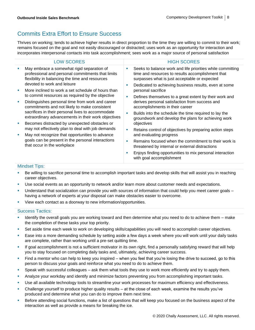### Commits Extra Effort to Ensure Success

Thrives on working; tends to achieve higher results in direct proportion to the time they are willing to commit to their work; remains focused on the goal and not easily discouraged or distracted; uses work as an opportunity for interaction and incorporates interpersonal contacts into task accomplishment; sees work as a major source of personal satisfaction

| May embrace a somewhat rigid separation of<br>×<br>professional and personal commitments that limits<br>time and resources to results accomplishment that<br>flexibility in balancing the time and resources<br>surpasses what is just acceptable or expected<br>devoted to work and leisure<br>Dedicated to achieving business results, even at some<br>More inclined to work a set schedule of hours than<br>personal sacrifice<br>ш<br>to commit resources as required by the objective<br>Defines themselves to a great extent by their work and<br>derives personal satisfaction from success and<br>Distinguishes personal time from work and career<br>Ì,<br>commitments and not likely to make consistent<br>accomplishments in their career<br>sacrifices in their personal lives to accommodate<br>Builds into the schedule the time required to lay the<br>extraordinary advancements in their work objectives<br>groundwork and develop the plans for achieving work<br>Becomes distracted by unexpected obstacles or<br>objectives<br>I.<br>may not effectively plan to deal with job demands<br>Retains control of objectives by preparing action steps<br>May not recognize that opportunities to advance<br>and evaluating progress<br>× | <b>LOW SCORES</b>                                                                | <b>HIGH SCORES</b>                                         |
|----------------------------------------------------------------------------------------------------------------------------------------------------------------------------------------------------------------------------------------------------------------------------------------------------------------------------------------------------------------------------------------------------------------------------------------------------------------------------------------------------------------------------------------------------------------------------------------------------------------------------------------------------------------------------------------------------------------------------------------------------------------------------------------------------------------------------------------------------------------------------------------------------------------------------------------------------------------------------------------------------------------------------------------------------------------------------------------------------------------------------------------------------------------------------------------------------------------------------------------------------------|----------------------------------------------------------------------------------|------------------------------------------------------------|
|                                                                                                                                                                                                                                                                                                                                                                                                                                                                                                                                                                                                                                                                                                                                                                                                                                                                                                                                                                                                                                                                                                                                                                                                                                                          |                                                                                  | Seeks to balance work and life priorities while committing |
|                                                                                                                                                                                                                                                                                                                                                                                                                                                                                                                                                                                                                                                                                                                                                                                                                                                                                                                                                                                                                                                                                                                                                                                                                                                          |                                                                                  |                                                            |
|                                                                                                                                                                                                                                                                                                                                                                                                                                                                                                                                                                                                                                                                                                                                                                                                                                                                                                                                                                                                                                                                                                                                                                                                                                                          |                                                                                  |                                                            |
|                                                                                                                                                                                                                                                                                                                                                                                                                                                                                                                                                                                                                                                                                                                                                                                                                                                                                                                                                                                                                                                                                                                                                                                                                                                          |                                                                                  |                                                            |
|                                                                                                                                                                                                                                                                                                                                                                                                                                                                                                                                                                                                                                                                                                                                                                                                                                                                                                                                                                                                                                                                                                                                                                                                                                                          |                                                                                  |                                                            |
|                                                                                                                                                                                                                                                                                                                                                                                                                                                                                                                                                                                                                                                                                                                                                                                                                                                                                                                                                                                                                                                                                                                                                                                                                                                          |                                                                                  |                                                            |
|                                                                                                                                                                                                                                                                                                                                                                                                                                                                                                                                                                                                                                                                                                                                                                                                                                                                                                                                                                                                                                                                                                                                                                                                                                                          |                                                                                  |                                                            |
|                                                                                                                                                                                                                                                                                                                                                                                                                                                                                                                                                                                                                                                                                                                                                                                                                                                                                                                                                                                                                                                                                                                                                                                                                                                          | goals can be present in the personal interactions<br>that occur in the workplace |                                                            |
| threatened by internal or external distractions                                                                                                                                                                                                                                                                                                                                                                                                                                                                                                                                                                                                                                                                                                                                                                                                                                                                                                                                                                                                                                                                                                                                                                                                          |                                                                                  | Remains focused when the commitment to their work is       |
| Enjoys finding opportunities to mix personal interaction<br>with goal accomplishment                                                                                                                                                                                                                                                                                                                                                                                                                                                                                                                                                                                                                                                                                                                                                                                                                                                                                                                                                                                                                                                                                                                                                                     |                                                                                  |                                                            |

#### Mindset Tips:

- Be willing to sacrifice personal time to accomplish important tasks and develop skills that will assist you in reaching career objectives.
- Use social events as an opportunity to network and/or learn more about customer needs and expectations.
- Understand that socialization can provide you with sources of information that could help you meet career goals having a network of experts at your disposal can make obstacles easier to overcome.
- View each contact as a doorway to new information/opportunities.

- **■** Identify the overall goals you are working toward and then determine what you need to do to achieve them make the completion of these tasks your top priority.
- Set aside time each week to work on developing skills/capabilities you will need to accomplish career objectives.
- Ease into a more demanding schedule by setting aside a few days a week where you will work until your daily tasks are complete, rather than working until a pre-set quitting time.
- **•** If goal accomplishment is not a sufficient motivator in its own right, find a personally satisfying reward that will help you to stay focused on completing daily tasks and, ultimately, achieving career success.
- Find a mentor who can help to keep you inspired when you feel that you're losing the drive to succeed, go to this person to discuss your goals and reinforce what you need to do to achieve them.
- **•** Speak with successful colleagues ask them what tools they use to work more efficiently and try to apply them.
- **■** Analyze your workday and identify and minimize factors preventing you from accomplishing important tasks.
- **■** Use all available technology tools to streamline your work processes for maximum efficiency and effectiveness.
- Challenge yourself to produce higher quality results at the close of each week, examine the results you've produced and determine what you can do to improve them next time.
- Before attending social functions, make a list of questions that will keep you focused on the business aspect of the interaction as well as provide a means for breaking the ice.